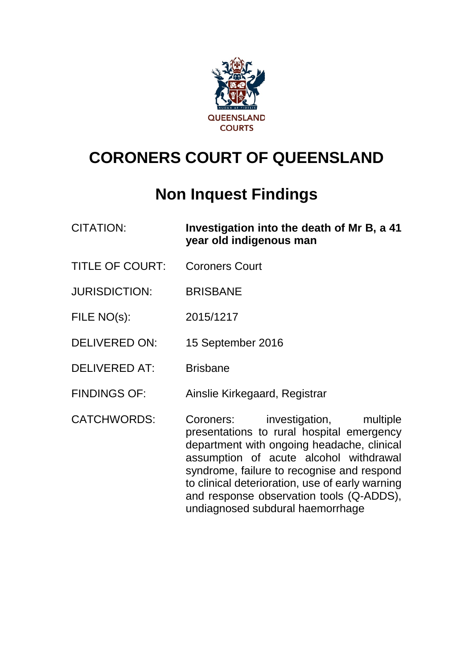

# **CORONERS COURT OF QUEENSLAND**

# **Non Inquest Findings**

| <b>CITATION:</b> | Investigation into the death of Mr B, a 41 |
|------------------|--------------------------------------------|
|                  | year old indigenous man                    |

- TITLE OF COURT: Coroners Court
- JURISDICTION: BRISBANE
- FILE NO(s): 2015/1217
- DELIVERED ON: 15 September 2016
- DELIVERED AT: Brisbane
- FINDINGS OF: Ainslie Kirkegaard, Registrar
- CATCHWORDS: Coroners: investigation, multiple presentations to rural hospital emergency department with ongoing headache, clinical assumption of acute alcohol withdrawal syndrome, failure to recognise and respond to clinical deterioration, use of early warning and response observation tools (Q-ADDS), undiagnosed subdural haemorrhage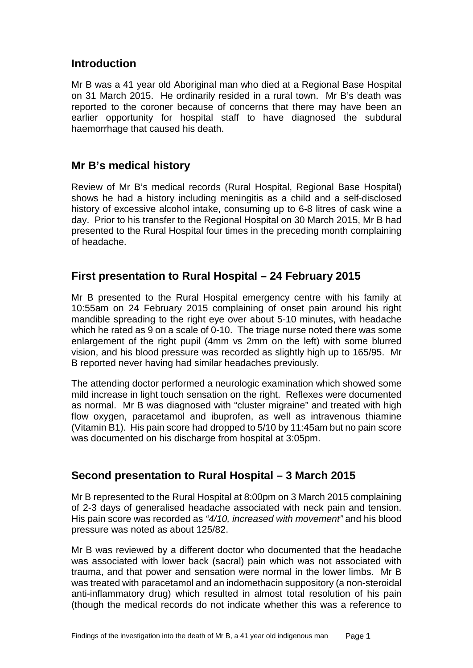## <span id="page-2-0"></span>**Introduction**

Mr B was a 41 year old Aboriginal man who died at a Regional Base Hospital on 31 March 2015. He ordinarily resided in a rural town. Mr B's death was reported to the coroner because of concerns that there may have been an earlier opportunity for hospital staff to have diagnosed the subdural haemorrhage that caused his death.

## <span id="page-2-1"></span>**Mr B's medical history**

Review of Mr B's medical records (Rural Hospital, Regional Base Hospital) shows he had a history including meningitis as a child and a self-disclosed history of excessive alcohol intake, consuming up to 6-8 litres of cask wine a day. Prior to his transfer to the Regional Hospital on 30 March 2015, Mr B had presented to the Rural Hospital four times in the preceding month complaining of headache.

## <span id="page-2-2"></span>**First presentation to Rural Hospital – 24 February 2015**

Mr B presented to the Rural Hospital emergency centre with his family at 10:55am on 24 February 2015 complaining of onset pain around his right mandible spreading to the right eye over about 5-10 minutes, with headache which he rated as 9 on a scale of 0-10. The triage nurse noted there was some enlargement of the right pupil (4mm vs 2mm on the left) with some blurred vision, and his blood pressure was recorded as slightly high up to 165/95. Mr B reported never having had similar headaches previously.

The attending doctor performed a neurologic examination which showed some mild increase in light touch sensation on the right. Reflexes were documented as normal. Mr B was diagnosed with "cluster migraine" and treated with high flow oxygen, paracetamol and ibuprofen, as well as intravenous thiamine (Vitamin B1). His pain score had dropped to 5/10 by 11:45am but no pain score was documented on his discharge from hospital at 3:05pm.

# <span id="page-2-3"></span>**Second presentation to Rural Hospital – 3 March 2015**

Mr B represented to the Rural Hospital at 8:00pm on 3 March 2015 complaining of 2-3 days of generalised headache associated with neck pain and tension. His pain score was recorded as *"4/10, increased with movement"* and his blood pressure was noted as about 125/82.

Mr B was reviewed by a different doctor who documented that the headache was associated with lower back (sacral) pain which was not associated with trauma, and that power and sensation were normal in the lower limbs. Mr B was treated with paracetamol and an indomethacin suppository (a non-steroidal anti-inflammatory drug) which resulted in almost total resolution of his pain (though the medical records do not indicate whether this was a reference to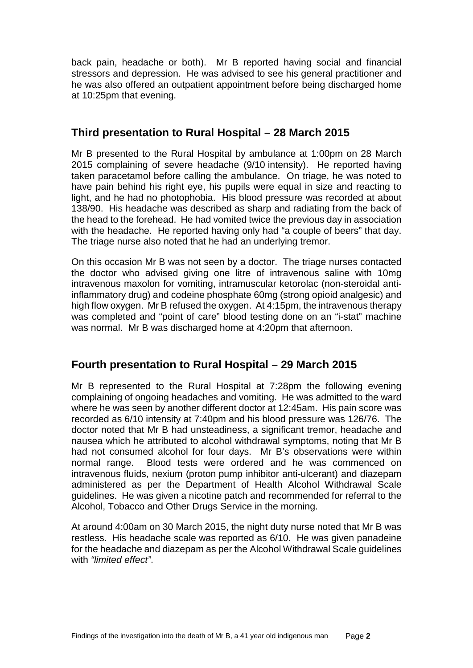back pain, headache or both). Mr B reported having social and financial stressors and depression. He was advised to see his general practitioner and he was also offered an outpatient appointment before being discharged home at 10:25pm that evening.

# <span id="page-3-0"></span>**Third presentation to Rural Hospital – 28 March 2015**

Mr B presented to the Rural Hospital by ambulance at 1:00pm on 28 March 2015 complaining of severe headache (9/10 intensity). He reported having taken paracetamol before calling the ambulance. On triage, he was noted to have pain behind his right eye, his pupils were equal in size and reacting to light, and he had no photophobia. His blood pressure was recorded at about 138/90. His headache was described as sharp and radiating from the back of the head to the forehead. He had vomited twice the previous day in association with the headache. He reported having only had "a couple of beers" that day. The triage nurse also noted that he had an underlying tremor.

On this occasion Mr B was not seen by a doctor. The triage nurses contacted the doctor who advised giving one litre of intravenous saline with 10mg intravenous maxolon for vomiting, intramuscular ketorolac (non-steroidal antiinflammatory drug) and codeine phosphate 60mg (strong opioid analgesic) and high flow oxygen. Mr B refused the oxygen. At 4:15pm, the intravenous therapy was completed and "point of care" blood testing done on an "i-stat" machine was normal. Mr B was discharged home at 4:20pm that afternoon.

# <span id="page-3-1"></span>**Fourth presentation to Rural Hospital – 29 March 2015**

Mr B represented to the Rural Hospital at 7:28pm the following evening complaining of ongoing headaches and vomiting. He was admitted to the ward where he was seen by another different doctor at 12:45am. His pain score was recorded as 6/10 intensity at 7:40pm and his blood pressure was 126/76. The doctor noted that Mr B had unsteadiness, a significant tremor, headache and nausea which he attributed to alcohol withdrawal symptoms, noting that Mr B had not consumed alcohol for four days. Mr B's observations were within normal range. Blood tests were ordered and he was commenced on intravenous fluids, nexium (proton pump inhibitor anti-ulcerant) and diazepam administered as per the Department of Health Alcohol Withdrawal Scale guidelines. He was given a nicotine patch and recommended for referral to the Alcohol, Tobacco and Other Drugs Service in the morning.

At around 4:00am on 30 March 2015, the night duty nurse noted that Mr B was restless. His headache scale was reported as 6/10. He was given panadeine for the headache and diazepam as per the Alcohol Withdrawal Scale guidelines with *"limited effect"*.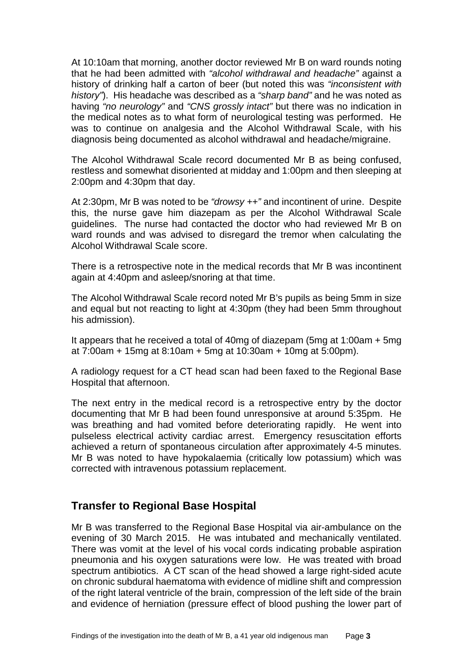At 10:10am that morning, another doctor reviewed Mr B on ward rounds noting that he had been admitted with *"alcohol withdrawal and headache"* against a history of drinking half a carton of beer (but noted this was *"inconsistent with history"*). His headache was described as a *"sharp band"* and he was noted as having *"no neurology"* and *"CNS grossly intact"* but there was no indication in the medical notes as to what form of neurological testing was performed. He was to continue on analgesia and the Alcohol Withdrawal Scale, with his diagnosis being documented as alcohol withdrawal and headache/migraine.

The Alcohol Withdrawal Scale record documented Mr B as being confused, restless and somewhat disoriented at midday and 1:00pm and then sleeping at 2:00pm and 4:30pm that day.

At 2:30pm, Mr B was noted to be *"drowsy ++"* and incontinent of urine. Despite this, the nurse gave him diazepam as per the Alcohol Withdrawal Scale guidelines. The nurse had contacted the doctor who had reviewed Mr B on ward rounds and was advised to disregard the tremor when calculating the Alcohol Withdrawal Scale score.

There is a retrospective note in the medical records that Mr B was incontinent again at 4:40pm and asleep/snoring at that time.

The Alcohol Withdrawal Scale record noted Mr B's pupils as being 5mm in size and equal but not reacting to light at 4:30pm (they had been 5mm throughout his admission).

It appears that he received a total of 40mg of diazepam (5mg at 1:00am + 5mg at 7:00am + 15mg at 8:10am + 5mg at 10:30am + 10mg at 5:00pm).

A radiology request for a CT head scan had been faxed to the Regional Base Hospital that afternoon.

The next entry in the medical record is a retrospective entry by the doctor documenting that Mr B had been found unresponsive at around 5:35pm. He was breathing and had vomited before deteriorating rapidly. He went into pulseless electrical activity cardiac arrest. Emergency resuscitation efforts achieved a return of spontaneous circulation after approximately 4-5 minutes. Mr B was noted to have hypokalaemia (critically low potassium) which was corrected with intravenous potassium replacement.

## <span id="page-4-0"></span>**Transfer to Regional Base Hospital**

Mr B was transferred to the Regional Base Hospital via air-ambulance on the evening of 30 March 2015. He was intubated and mechanically ventilated. There was vomit at the level of his vocal cords indicating probable aspiration pneumonia and his oxygen saturations were low. He was treated with broad spectrum antibiotics. A CT scan of the head showed a large right-sided acute on chronic subdural haematoma with evidence of midline shift and compression of the right lateral ventricle of the brain, compression of the left side of the brain and evidence of herniation (pressure effect of blood pushing the lower part of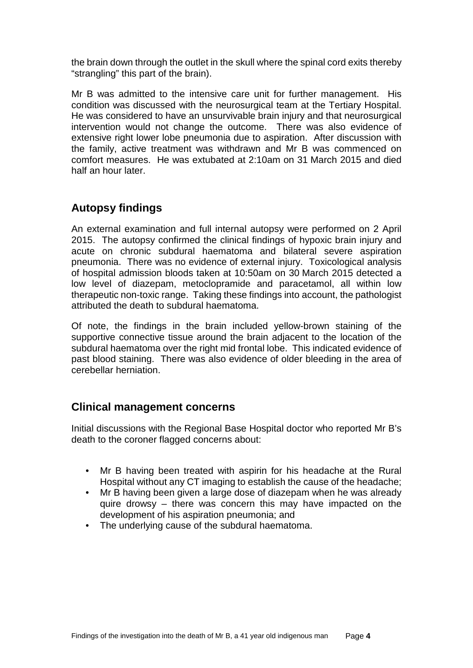the brain down through the outlet in the skull where the spinal cord exits thereby "strangling" this part of the brain).

Mr B was admitted to the intensive care unit for further management. His condition was discussed with the neurosurgical team at the Tertiary Hospital. He was considered to have an unsurvivable brain injury and that neurosurgical intervention would not change the outcome. There was also evidence of extensive right lower lobe pneumonia due to aspiration. After discussion with the family, active treatment was withdrawn and Mr B was commenced on comfort measures. He was extubated at 2:10am on 31 March 2015 and died half an hour later.

# <span id="page-5-0"></span>**Autopsy findings**

An external examination and full internal autopsy were performed on 2 April 2015. The autopsy confirmed the clinical findings of hypoxic brain injury and acute on chronic subdural haematoma and bilateral severe aspiration pneumonia. There was no evidence of external injury. Toxicological analysis of hospital admission bloods taken at 10:50am on 30 March 2015 detected a low level of diazepam, metoclopramide and paracetamol, all within low therapeutic non-toxic range. Taking these findings into account, the pathologist attributed the death to subdural haematoma.

Of note, the findings in the brain included yellow-brown staining of the supportive connective tissue around the brain adjacent to the location of the subdural haematoma over the right mid frontal lobe. This indicated evidence of past blood staining. There was also evidence of older bleeding in the area of cerebellar herniation.

## <span id="page-5-1"></span>**Clinical management concerns**

Initial discussions with the Regional Base Hospital doctor who reported Mr B's death to the coroner flagged concerns about:

- Mr B having been treated with aspirin for his headache at the Rural Hospital without any CT imaging to establish the cause of the headache;
- Mr B having been given a large dose of diazepam when he was already quire drowsy – there was concern this may have impacted on the development of his aspiration pneumonia; and
- <span id="page-5-2"></span>• The underlying cause of the subdural haematoma.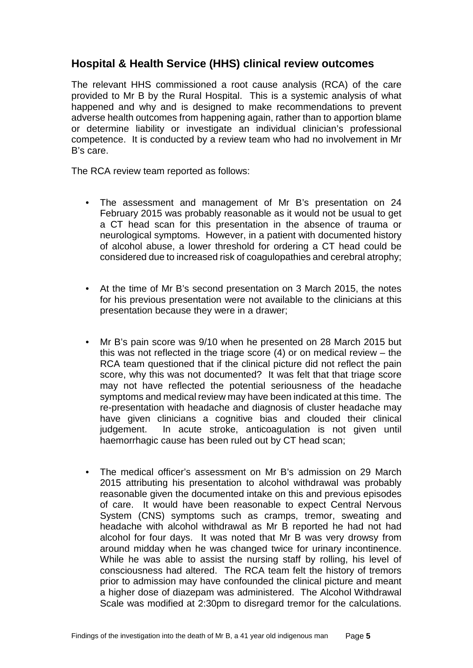## **Hospital & Health Service (HHS) clinical review outcomes**

The relevant HHS commissioned a root cause analysis (RCA) of the care provided to Mr B by the Rural Hospital. This is a systemic analysis of what happened and why and is designed to make recommendations to prevent adverse health outcomes from happening again, rather than to apportion blame or determine liability or investigate an individual clinician's professional competence. It is conducted by a review team who had no involvement in Mr B's care.

The RCA review team reported as follows:

- The assessment and management of Mr B's presentation on 24 February 2015 was probably reasonable as it would not be usual to get a CT head scan for this presentation in the absence of trauma or neurological symptoms. However, in a patient with documented history of alcohol abuse, a lower threshold for ordering a CT head could be considered due to increased risk of coagulopathies and cerebral atrophy;
- At the time of Mr B's second presentation on 3 March 2015, the notes for his previous presentation were not available to the clinicians at this presentation because they were in a drawer;
- Mr B's pain score was 9/10 when he presented on 28 March 2015 but this was not reflected in the triage score (4) or on medical review – the RCA team questioned that if the clinical picture did not reflect the pain score, why this was not documented? It was felt that that triage score may not have reflected the potential seriousness of the headache symptoms and medical review may have been indicated at this time. The re-presentation with headache and diagnosis of cluster headache may have given clinicians a cognitive bias and clouded their clinical judgement. In acute stroke, anticoagulation is not given until haemorrhagic cause has been ruled out by CT head scan;
- The medical officer's assessment on Mr B's admission on 29 March 2015 attributing his presentation to alcohol withdrawal was probably reasonable given the documented intake on this and previous episodes of care. It would have been reasonable to expect Central Nervous System (CNS) symptoms such as cramps, tremor, sweating and headache with alcohol withdrawal as Mr B reported he had not had alcohol for four days. It was noted that Mr B was very drowsy from around midday when he was changed twice for urinary incontinence. While he was able to assist the nursing staff by rolling, his level of consciousness had altered. The RCA team felt the history of tremors prior to admission may have confounded the clinical picture and meant a higher dose of diazepam was administered. The Alcohol Withdrawal Scale was modified at 2:30pm to disregard tremor for the calculations.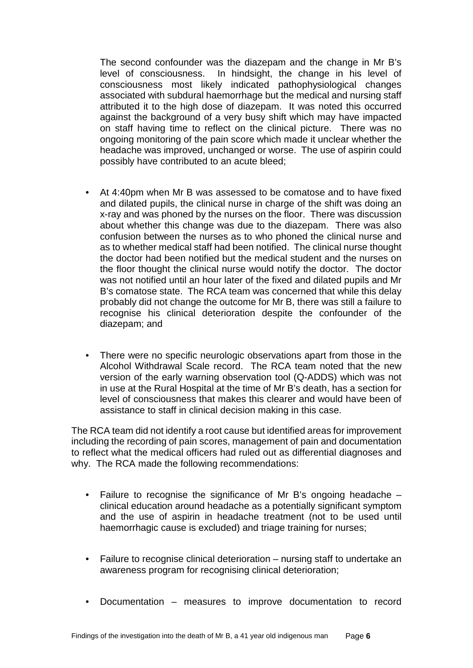The second confounder was the diazepam and the change in Mr B's level of consciousness. In hindsight, the change in his level of consciousness most likely indicated pathophysiological changes associated with subdural haemorrhage but the medical and nursing staff attributed it to the high dose of diazepam. It was noted this occurred against the background of a very busy shift which may have impacted on staff having time to reflect on the clinical picture. There was no ongoing monitoring of the pain score which made it unclear whether the headache was improved, unchanged or worse. The use of aspirin could possibly have contributed to an acute bleed;

- At 4:40pm when Mr B was assessed to be comatose and to have fixed and dilated pupils, the clinical nurse in charge of the shift was doing an x-ray and was phoned by the nurses on the floor. There was discussion about whether this change was due to the diazepam. There was also confusion between the nurses as to who phoned the clinical nurse and as to whether medical staff had been notified. The clinical nurse thought the doctor had been notified but the medical student and the nurses on the floor thought the clinical nurse would notify the doctor. The doctor was not notified until an hour later of the fixed and dilated pupils and Mr B's comatose state. The RCA team was concerned that while this delay probably did not change the outcome for Mr B, there was still a failure to recognise his clinical deterioration despite the confounder of the diazepam; and
- There were no specific neurologic observations apart from those in the Alcohol Withdrawal Scale record. The RCA team noted that the new version of the early warning observation tool (Q-ADDS) which was not in use at the Rural Hospital at the time of Mr B's death, has a section for level of consciousness that makes this clearer and would have been of assistance to staff in clinical decision making in this case.

The RCA team did not identify a root cause but identified areas for improvement including the recording of pain scores, management of pain and documentation to reflect what the medical officers had ruled out as differential diagnoses and why. The RCA made the following recommendations:

- Failure to recognise the significance of Mr B's ongoing headache clinical education around headache as a potentially significant symptom and the use of aspirin in headache treatment (not to be used until haemorrhagic cause is excluded) and triage training for nurses;
- Failure to recognise clinical deterioration nursing staff to undertake an awareness program for recognising clinical deterioration;
- Documentation measures to improve documentation to record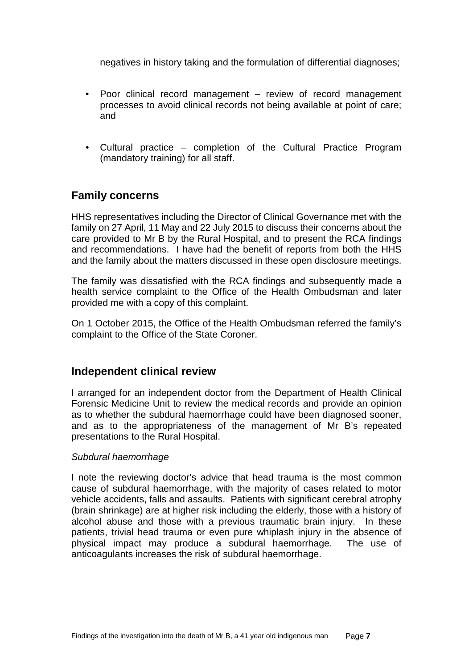negatives in history taking and the formulation of differential diagnoses;

- Poor clinical record management review of record management processes to avoid clinical records not being available at point of care; and
- Cultural practice completion of the Cultural Practice Program (mandatory training) for all staff.

## <span id="page-8-0"></span>**Family concerns**

HHS representatives including the Director of Clinical Governance met with the family on 27 April, 11 May and 22 July 2015 to discuss their concerns about the care provided to Mr B by the Rural Hospital, and to present the RCA findings and recommendations. I have had the benefit of reports from both the HHS and the family about the matters discussed in these open disclosure meetings.

The family was dissatisfied with the RCA findings and subsequently made a health service complaint to the Office of the Health Ombudsman and later provided me with a copy of this complaint.

On 1 October 2015, the Office of the Health Ombudsman referred the family's complaint to the Office of the State Coroner.

#### <span id="page-8-1"></span>**Independent clinical review**

I arranged for an independent doctor from the Department of Health Clinical Forensic Medicine Unit to review the medical records and provide an opinion as to whether the subdural haemorrhage could have been diagnosed sooner, and as to the appropriateness of the management of Mr B's repeated presentations to the Rural Hospital.

#### *Subdural haemorrhage*

I note the reviewing doctor's advice that head trauma is the most common cause of subdural haemorrhage, with the majority of cases related to motor vehicle accidents, falls and assaults. Patients with significant cerebral atrophy (brain shrinkage) are at higher risk including the elderly, those with a history of alcohol abuse and those with a previous traumatic brain injury. In these patients, trivial head trauma or even pure whiplash injury in the absence of physical impact may produce a subdural haemorrhage. The use of anticoagulants increases the risk of subdural haemorrhage.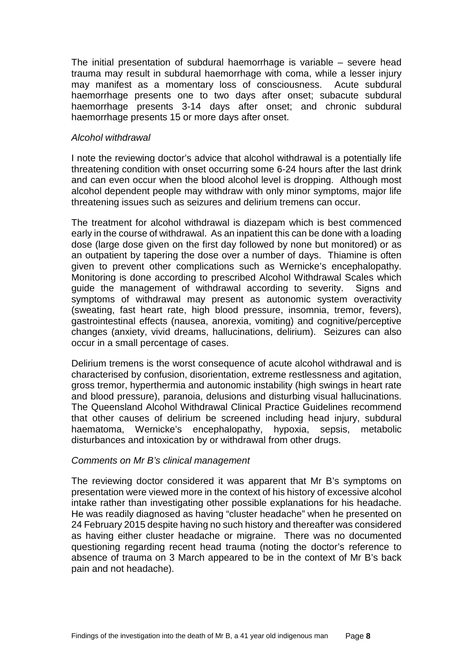The initial presentation of subdural haemorrhage is variable – severe head trauma may result in subdural haemorrhage with coma, while a lesser injury may manifest as a momentary loss of consciousness. Acute subdural haemorrhage presents one to two days after onset; subacute subdural haemorrhage presents 3-14 days after onset; and chronic subdural haemorrhage presents 15 or more days after onset.

#### *Alcohol withdrawal*

I note the reviewing doctor's advice that alcohol withdrawal is a potentially life threatening condition with onset occurring some 6-24 hours after the last drink and can even occur when the blood alcohol level is dropping. Although most alcohol dependent people may withdraw with only minor symptoms, major life threatening issues such as seizures and delirium tremens can occur.

The treatment for alcohol withdrawal is diazepam which is best commenced early in the course of withdrawal. As an inpatient this can be done with a loading dose (large dose given on the first day followed by none but monitored) or as an outpatient by tapering the dose over a number of days. Thiamine is often given to prevent other complications such as Wernicke's encephalopathy. Monitoring is done according to prescribed Alcohol Withdrawal Scales which guide the management of withdrawal according to severity. Signs and symptoms of withdrawal may present as autonomic system overactivity (sweating, fast heart rate, high blood pressure, insomnia, tremor, fevers), gastrointestinal effects (nausea, anorexia, vomiting) and cognitive/perceptive changes (anxiety, vivid dreams, hallucinations, delirium). Seizures can also occur in a small percentage of cases.

Delirium tremens is the worst consequence of acute alcohol withdrawal and is characterised by confusion, disorientation, extreme restlessness and agitation, gross tremor, hyperthermia and autonomic instability (high swings in heart rate and blood pressure), paranoia, delusions and disturbing visual hallucinations. The Queensland Alcohol Withdrawal Clinical Practice Guidelines recommend that other causes of delirium be screened including head injury, subdural haematoma, Wernicke's encephalopathy, hypoxia, sepsis, metabolic disturbances and intoxication by or withdrawal from other drugs.

#### *Comments on Mr B's clinical management*

The reviewing doctor considered it was apparent that Mr B's symptoms on presentation were viewed more in the context of his history of excessive alcohol intake rather than investigating other possible explanations for his headache. He was readily diagnosed as having "cluster headache" when he presented on 24 February 2015 despite having no such history and thereafter was considered as having either cluster headache or migraine. There was no documented questioning regarding recent head trauma (noting the doctor's reference to absence of trauma on 3 March appeared to be in the context of Mr B's back pain and not headache).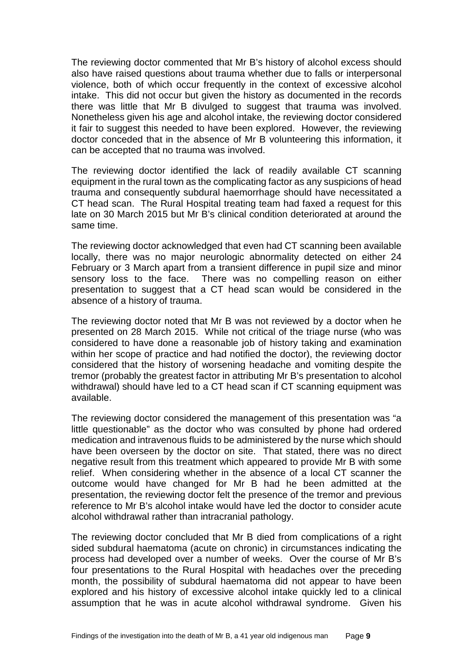The reviewing doctor commented that Mr B's history of alcohol excess should also have raised questions about trauma whether due to falls or interpersonal violence, both of which occur frequently in the context of excessive alcohol intake. This did not occur but given the history as documented in the records there was little that Mr B divulged to suggest that trauma was involved. Nonetheless given his age and alcohol intake, the reviewing doctor considered it fair to suggest this needed to have been explored. However, the reviewing doctor conceded that in the absence of Mr B volunteering this information, it can be accepted that no trauma was involved.

The reviewing doctor identified the lack of readily available CT scanning equipment in the rural town as the complicating factor as any suspicions of head trauma and consequently subdural haemorrhage should have necessitated a CT head scan. The Rural Hospital treating team had faxed a request for this late on 30 March 2015 but Mr B's clinical condition deteriorated at around the same time.

The reviewing doctor acknowledged that even had CT scanning been available locally, there was no major neurologic abnormality detected on either 24 February or 3 March apart from a transient difference in pupil size and minor sensory loss to the face. There was no compelling reason on either presentation to suggest that a CT head scan would be considered in the absence of a history of trauma.

The reviewing doctor noted that Mr B was not reviewed by a doctor when he presented on 28 March 2015. While not critical of the triage nurse (who was considered to have done a reasonable job of history taking and examination within her scope of practice and had notified the doctor), the reviewing doctor considered that the history of worsening headache and vomiting despite the tremor (probably the greatest factor in attributing Mr B's presentation to alcohol withdrawal) should have led to a CT head scan if CT scanning equipment was available.

The reviewing doctor considered the management of this presentation was "a little questionable" as the doctor who was consulted by phone had ordered medication and intravenous fluids to be administered by the nurse which should have been overseen by the doctor on site. That stated, there was no direct negative result from this treatment which appeared to provide Mr B with some relief. When considering whether in the absence of a local CT scanner the outcome would have changed for Mr B had he been admitted at the presentation, the reviewing doctor felt the presence of the tremor and previous reference to Mr B's alcohol intake would have led the doctor to consider acute alcohol withdrawal rather than intracranial pathology.

The reviewing doctor concluded that Mr B died from complications of a right sided subdural haematoma (acute on chronic) in circumstances indicating the process had developed over a number of weeks. Over the course of Mr B's four presentations to the Rural Hospital with headaches over the preceding month, the possibility of subdural haematoma did not appear to have been explored and his history of excessive alcohol intake quickly led to a clinical assumption that he was in acute alcohol withdrawal syndrome. Given his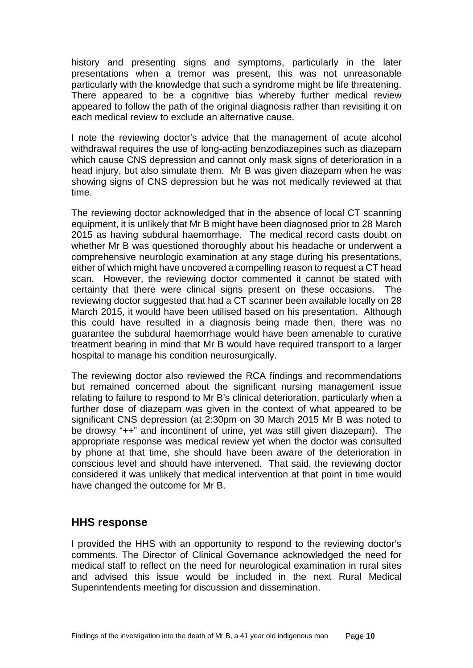history and presenting signs and symptoms, particularly in the later presentations when a tremor was present, this was not unreasonable particularly with the knowledge that such a syndrome might be life threatening. There appeared to be a cognitive bias whereby further medical review appeared to follow the path of the original diagnosis rather than revisiting it on each medical review to exclude an alternative cause.

I note the reviewing doctor's advice that the management of acute alcohol withdrawal requires the use of long-acting benzodiazepines such as diazepam which cause CNS depression and cannot only mask signs of deterioration in a head injury, but also simulate them. Mr B was given diazepam when he was showing signs of CNS depression but he was not medically reviewed at that time.

The reviewing doctor acknowledged that in the absence of local CT scanning equipment, it is unlikely that Mr B might have been diagnosed prior to 28 March 2015 as having subdural haemorrhage. The medical record casts doubt on whether Mr B was questioned thoroughly about his headache or underwent a comprehensive neurologic examination at any stage during his presentations, either of which might have uncovered a compelling reason to request a CT head scan. However, the reviewing doctor commented it cannot be stated with certainty that there were clinical signs present on these occasions. The reviewing doctor suggested that had a CT scanner been available locally on 28 March 2015, it would have been utilised based on his presentation. Although this could have resulted in a diagnosis being made then, there was no guarantee the subdural haemorrhage would have been amenable to curative treatment bearing in mind that Mr B would have required transport to a larger hospital to manage his condition neurosurgically.

The reviewing doctor also reviewed the RCA findings and recommendations but remained concerned about the significant nursing management issue relating to failure to respond to Mr B's clinical deterioration, particularly when a further dose of diazepam was given in the context of what appeared to be significant CNS depression (at 2:30pm on 30 March 2015 Mr B was noted to be drowsy "++" and incontinent of urine, yet was still given diazepam). The appropriate response was medical review yet when the doctor was consulted by phone at that time, she should have been aware of the deterioration in conscious level and should have intervened. That said, the reviewing doctor considered it was unlikely that medical intervention at that point in time would have changed the outcome for Mr B.

### <span id="page-11-0"></span>**HHS response**

I provided the HHS with an opportunity to respond to the reviewing doctor's comments. The Director of Clinical Governance acknowledged the need for medical staff to reflect on the need for neurological examination in rural sites and advised this issue would be included in the next Rural Medical Superintendents meeting for discussion and dissemination.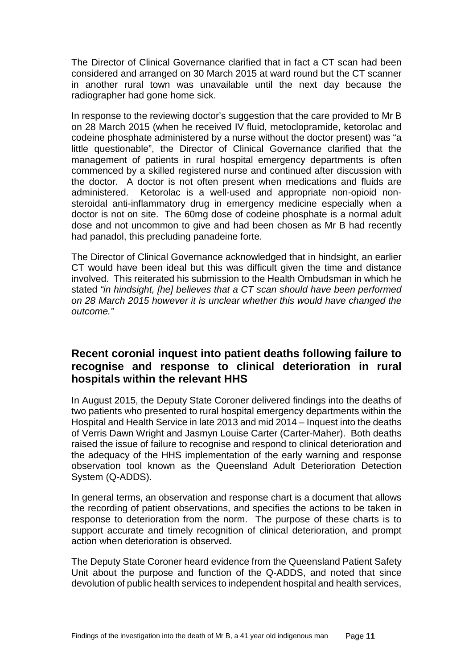The Director of Clinical Governance clarified that in fact a CT scan had been considered and arranged on 30 March 2015 at ward round but the CT scanner in another rural town was unavailable until the next day because the radiographer had gone home sick.

In response to the reviewing doctor's suggestion that the care provided to Mr B on 28 March 2015 (when he received IV fluid, metoclopramide, ketorolac and codeine phosphate administered by a nurse without the doctor present) was "a little questionable", the Director of Clinical Governance clarified that the management of patients in rural hospital emergency departments is often commenced by a skilled registered nurse and continued after discussion with the doctor. A doctor is not often present when medications and fluids are administered. Ketorolac is a well-used and appropriate non-opioid nonsteroidal anti-inflammatory drug in emergency medicine especially when a doctor is not on site. The 60mg dose of codeine phosphate is a normal adult dose and not uncommon to give and had been chosen as Mr B had recently had panadol, this precluding panadeine forte.

The Director of Clinical Governance acknowledged that in hindsight, an earlier CT would have been ideal but this was difficult given the time and distance involved. This reiterated his submission to the Health Ombudsman in which he stated *"in hindsight, [he] believes that a CT scan should have been performed on 28 March 2015 however it is unclear whether this would have changed the outcome."*

## **Recent coronial inquest into patient deaths following failure to recognise and response to clinical deterioration in rural hospitals within the relevant HHS**

In August 2015, the Deputy State Coroner delivered findings into the deaths of two patients who presented to rural hospital emergency departments within the Hospital and Health Service in late 2013 and mid 2014 – Inquest into the deaths of Verris Dawn Wright and Jasmyn Louise Carter (Carter-Maher). Both deaths raised the issue of failure to recognise and respond to clinical deterioration and the adequacy of the HHS implementation of the early warning and response observation tool known as the Queensland Adult Deterioration Detection System (Q-ADDS).

In general terms, an observation and response chart is a document that allows the recording of patient observations, and specifies the actions to be taken in response to deterioration from the norm. The purpose of these charts is to support accurate and timely recognition of clinical deterioration, and prompt action when deterioration is observed.

The Deputy State Coroner heard evidence from the Queensland Patient Safety Unit about the purpose and function of the Q-ADDS, and noted that since devolution of public health services to independent hospital and health services,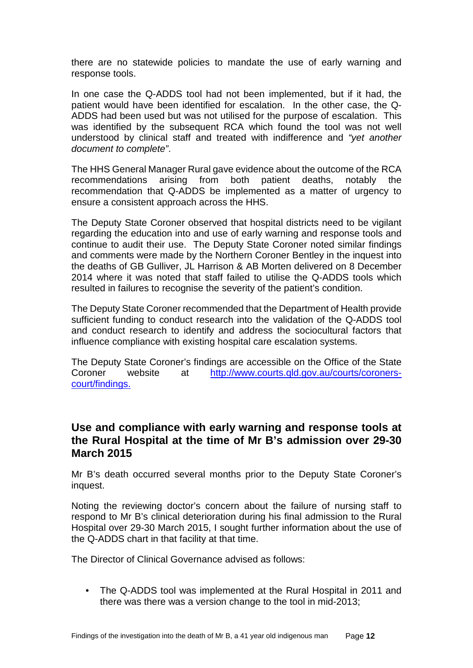there are no statewide policies to mandate the use of early warning and response tools.

In one case the Q-ADDS tool had not been implemented, but if it had, the patient would have been identified for escalation. In the other case, the Q-ADDS had been used but was not utilised for the purpose of escalation. This was identified by the subsequent RCA which found the tool was not well understood by clinical staff and treated with indifference and *"yet another document to complete"*.

The HHS General Manager Rural gave evidence about the outcome of the RCA recommendations arising from both patient deaths, notably the recommendation that Q-ADDS be implemented as a matter of urgency to ensure a consistent approach across the HHS.

The Deputy State Coroner observed that hospital districts need to be vigilant regarding the education into and use of early warning and response tools and continue to audit their use. The Deputy State Coroner noted similar findings and comments were made by the Northern Coroner Bentley in the inquest into the deaths of GB Gulliver, JL Harrison & AB Morten delivered on 8 December 2014 where it was noted that staff failed to utilise the Q-ADDS tools which resulted in failures to recognise the severity of the patient's condition.

The Deputy State Coroner recommended that the Department of Health provide sufficient funding to conduct research into the validation of the Q-ADDS tool and conduct research to identify and address the sociocultural factors that influence compliance with existing hospital care escalation systems.

The Deputy State Coroner's findings are accessible on the Office of the State Coroner website at [http://www.courts.qld.gov.au/courts/coroners](http://www.courts.qld.gov.au/courts/coroners-court/findings)[court/findings.](http://www.courts.qld.gov.au/courts/coroners-court/findings)

## **Use and compliance with early warning and response tools at the Rural Hospital at the time of Mr B's admission over 29-30 March 2015**

Mr B's death occurred several months prior to the Deputy State Coroner's inquest.

Noting the reviewing doctor's concern about the failure of nursing staff to respond to Mr B's clinical deterioration during his final admission to the Rural Hospital over 29-30 March 2015, I sought further information about the use of the Q-ADDS chart in that facility at that time.

The Director of Clinical Governance advised as follows:

• The Q-ADDS tool was implemented at the Rural Hospital in 2011 and there was there was a version change to the tool in mid-2013;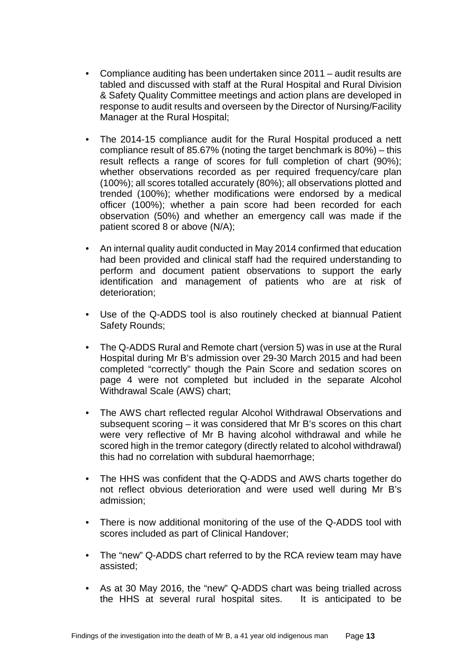- Compliance auditing has been undertaken since 2011 audit results are tabled and discussed with staff at the Rural Hospital and Rural Division & Safety Quality Committee meetings and action plans are developed in response to audit results and overseen by the Director of Nursing/Facility Manager at the Rural Hospital;
- The 2014-15 compliance audit for the Rural Hospital produced a nett compliance result of 85.67% (noting the target benchmark is 80%) – this result reflects a range of scores for full completion of chart (90%); whether observations recorded as per required frequency/care plan (100%); all scores totalled accurately (80%); all observations plotted and trended (100%); whether modifications were endorsed by a medical officer (100%); whether a pain score had been recorded for each observation (50%) and whether an emergency call was made if the patient scored 8 or above (N/A);
- An internal quality audit conducted in May 2014 confirmed that education had been provided and clinical staff had the required understanding to perform and document patient observations to support the early identification and management of patients who are at risk of deterioration;
- Use of the Q-ADDS tool is also routinely checked at biannual Patient Safety Rounds;
- The Q-ADDS Rural and Remote chart (version 5) was in use at the Rural Hospital during Mr B's admission over 29-30 March 2015 and had been completed "correctly" though the Pain Score and sedation scores on page 4 were not completed but included in the separate Alcohol Withdrawal Scale (AWS) chart;
- The AWS chart reflected regular Alcohol Withdrawal Observations and subsequent scoring – it was considered that Mr B's scores on this chart were very reflective of Mr B having alcohol withdrawal and while he scored high in the tremor category (directly related to alcohol withdrawal) this had no correlation with subdural haemorrhage;
- The HHS was confident that the Q-ADDS and AWS charts together do not reflect obvious deterioration and were used well during Mr B's admission;
- There is now additional monitoring of the use of the Q-ADDS tool with scores included as part of Clinical Handover;
- The "new" Q-ADDS chart referred to by the RCA review team may have assisted;
- As at 30 May 2016, the "new" Q-ADDS chart was being trialled across the HHS at several rural hospital sites. It is anticipated to be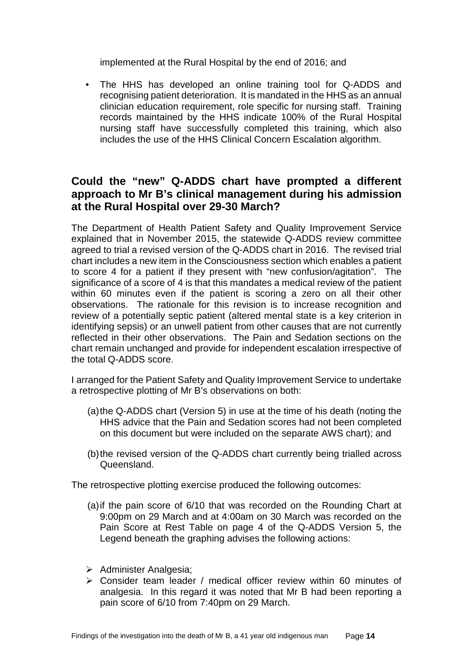implemented at the Rural Hospital by the end of 2016; and

• The HHS has developed an online training tool for Q-ADDS and recognising patient deterioration. It is mandated in the HHS as an annual clinician education requirement, role specific for nursing staff. Training records maintained by the HHS indicate 100% of the Rural Hospital nursing staff have successfully completed this training, which also includes the use of the HHS Clinical Concern Escalation algorithm.

## **Could the "new" Q-ADDS chart have prompted a different approach to Mr B's clinical management during his admission at the Rural Hospital over 29-30 March?**

The Department of Health Patient Safety and Quality Improvement Service explained that in November 2015, the statewide Q-ADDS review committee agreed to trial a revised version of the Q-ADDS chart in 2016. The revised trial chart includes a new item in the Consciousness section which enables a patient to score 4 for a patient if they present with "new confusion/agitation". The significance of a score of 4 is that this mandates a medical review of the patient within 60 minutes even if the patient is scoring a zero on all their other observations. The rationale for this revision is to increase recognition and review of a potentially septic patient (altered mental state is a key criterion in identifying sepsis) or an unwell patient from other causes that are not currently reflected in their other observations. The Pain and Sedation sections on the chart remain unchanged and provide for independent escalation irrespective of the total Q-ADDS score.

I arranged for the Patient Safety and Quality Improvement Service to undertake a retrospective plotting of Mr B's observations on both:

- (a)the Q-ADDS chart (Version 5) in use at the time of his death (noting the HHS advice that the Pain and Sedation scores had not been completed on this document but were included on the separate AWS chart); and
- (b)the revised version of the Q-ADDS chart currently being trialled across Queensland.

The retrospective plotting exercise produced the following outcomes:

- (a)if the pain score of 6/10 that was recorded on the Rounding Chart at 9:00pm on 29 March and at 4:00am on 30 March was recorded on the Pain Score at Rest Table on page 4 of the Q-ADDS Version 5, the Legend beneath the graphing advises the following actions:
- $\triangleright$  Administer Analgesia:
- $\geq$  Consider team leader / medical officer review within 60 minutes of analgesia. In this regard it was noted that Mr B had been reporting a pain score of 6/10 from 7:40pm on 29 March.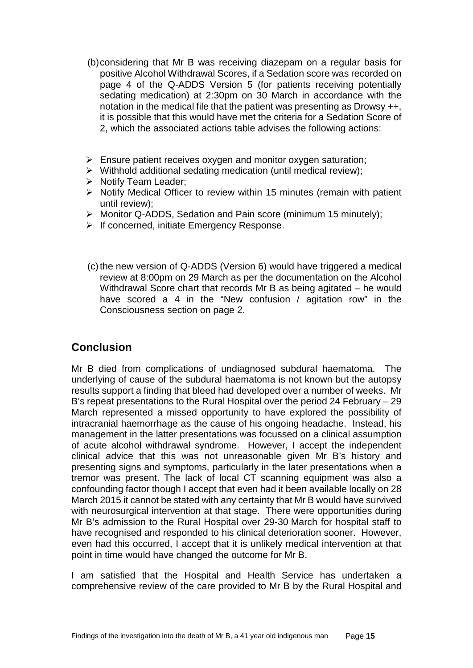- (b)considering that Mr B was receiving diazepam on a regular basis for positive Alcohol Withdrawal Scores, if a Sedation score was recorded on page 4 of the Q-ADDS Version 5 (for patients receiving potentially sedating medication) at 2:30pm on 30 March in accordance with the notation in the medical file that the patient was presenting as Drowsy ++, it is possible that this would have met the criteria for a Sedation Score of 2, which the associated actions table advises the following actions:
- $\triangleright$  Ensure patient receives oxygen and monitor oxygen saturation;
- $\triangleright$  Withhold additional sedating medication (until medical review);
- $\triangleright$  Notify Team Leader:
- $\triangleright$  Notify Medical Officer to review within 15 minutes (remain with patient until review);
- Monitor Q-ADDS, Sedation and Pain score (minimum 15 minutely);
- $\triangleright$  If concerned, initiate Emergency Response.
- $(c)$  the new version of Q-ADDS (Version 6) would have triggered a medical review at 8:00pm on 29 March as per the documentation on the Alcohol Withdrawal Score chart that records Mr B as being agitated – he would have scored a 4 in the "New confusion / agitation row" in the Consciousness section on page 2.

## <span id="page-16-0"></span>**Conclusion**

Mr B died from complications of undiagnosed subdural haematoma. The underlying of cause of the subdural haematoma is not known but the autopsy results support a finding that bleed had developed over a number of weeks. Mr B's repeat presentations to the Rural Hospital over the period 24 February – 29 March represented a missed opportunity to have explored the possibility of intracranial haemorrhage as the cause of his ongoing headache. Instead, his management in the latter presentations was focussed on a clinical assumption of acute alcohol withdrawal syndrome. However, I accept the independent clinical advice that this was not unreasonable given Mr B's history and presenting signs and symptoms, particularly in the later presentations when a tremor was present. The lack of local CT scanning equipment was also a confounding factor though I accept that even had it been available locally on 28 March 2015 it cannot be stated with any certainty that Mr B would have survived with neurosurgical intervention at that stage. There were opportunities during Mr B's admission to the Rural Hospital over 29-30 March for hospital staff to have recognised and responded to his clinical deterioration sooner. However, even had this occurred, I accept that it is unlikely medical intervention at that point in time would have changed the outcome for Mr B.

I am satisfied that the Hospital and Health Service has undertaken a comprehensive review of the care provided to Mr B by the Rural Hospital and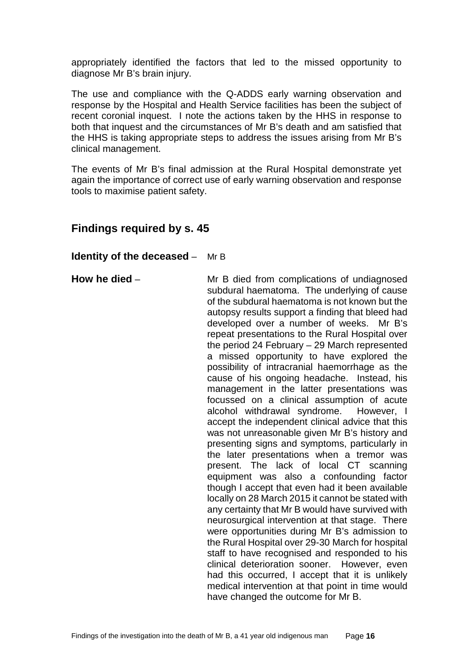appropriately identified the factors that led to the missed opportunity to diagnose Mr B's brain injury.

The use and compliance with the Q-ADDS early warning observation and response by the Hospital and Health Service facilities has been the subject of recent coronial inquest. I note the actions taken by the HHS in response to both that inquest and the circumstances of Mr B's death and am satisfied that the HHS is taking appropriate steps to address the issues arising from Mr B's clinical management.

The events of Mr B's final admission at the Rural Hospital demonstrate yet again the importance of correct use of early warning observation and response tools to maximise patient safety.

## **Findings required by s. 45**

#### **Identity of the deceased** – Mr B

**How he died** – Mr B died from complications of undiagnosed subdural haematoma. The underlying of cause of the subdural haematoma is not known but the autopsy results support a finding that bleed had developed over a number of weeks. Mr B's repeat presentations to the Rural Hospital over the period 24 February – 29 March represented a missed opportunity to have explored the possibility of intracranial haemorrhage as the cause of his ongoing headache. Instead, his management in the latter presentations was focussed on a clinical assumption of acute alcohol withdrawal syndrome. However, I accept the independent clinical advice that this was not unreasonable given Mr B's history and presenting signs and symptoms, particularly in the later presentations when a tremor was present. The lack of local CT scanning equipment was also a confounding factor though I accept that even had it been available locally on 28 March 2015 it cannot be stated with any certainty that Mr B would have survived with neurosurgical intervention at that stage. There were opportunities during Mr B's admission to the Rural Hospital over 29-30 March for hospital staff to have recognised and responded to his clinical deterioration sooner. However, even had this occurred, I accept that it is unlikely medical intervention at that point in time would have changed the outcome for Mr B.